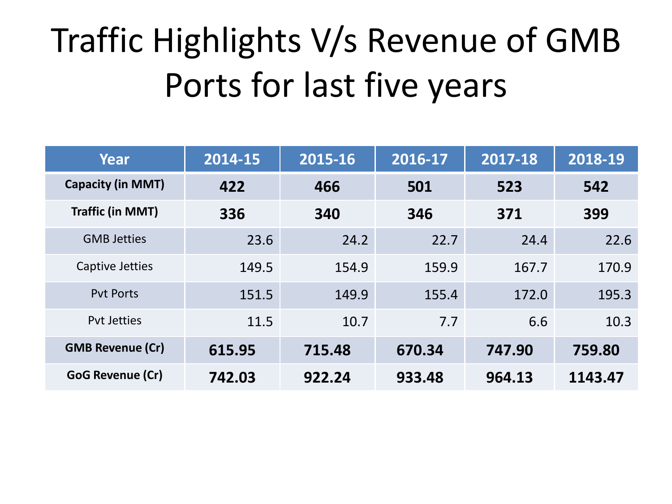## Traffic Highlights V/s Revenue of GMB Ports for last five years

| Year                     | 2014-15 | 2015-16 | 2016-17 | 2017-18 | 2018-19 |
|--------------------------|---------|---------|---------|---------|---------|
| <b>Capacity (in MMT)</b> | 422     | 466     | 501     | 523     | 542     |
| <b>Traffic (in MMT)</b>  | 336     | 340     | 346     | 371     | 399     |
| <b>GMB Jetties</b>       | 23.6    | 24.2    | 22.7    | 24.4    | 22.6    |
| Captive Jetties          | 149.5   | 154.9   | 159.9   | 167.7   | 170.9   |
| <b>Pyt Ports</b>         | 151.5   | 149.9   | 155.4   | 172.0   | 195.3   |
| <b>Pyt Jetties</b>       | 11.5    | 10.7    | 7.7     | 6.6     | 10.3    |
| <b>GMB Revenue (Cr)</b>  | 615.95  | 715.48  | 670.34  | 747.90  | 759.80  |
| GoG Revenue (Cr)         | 742.03  | 922.24  | 933.48  | 964.13  | 1143.47 |